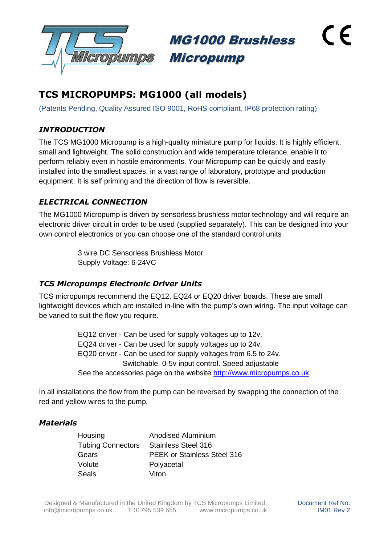

MG1000 Brushless Micropump

# **TCS MICROPUMPS: MG1000 (all models)**

(Patents Pending, Quality Assured ISO 9001, RoHS compliant, IP68 protection rating)

# *INTRODUCTION*

The TCS MG1000 Micropump is a high-quality miniature pump for liquids. It is highly efficient, small and lightweight. The solid construction and wide temperature tolerance, enable it to perform reliably even in hostile environments. Your Micropump can be quickly and easily installed into the smallest spaces, in a vast range of laboratory, prototype and production equipment. It is self priming and the direction of flow is reversible.

# *ELECTRICAL CONNECTION*

The MG1000 Micropump is driven by sensorless brushless motor technology and will require an electronic driver circuit in order to be used (supplied separately). This can be designed into your own control electronics or you can choose one of the standard control units

> 3 wire DC Sensorless Brushless Motor Supply Voltage: 6-24VC

### *TCS Micropumps Electronic Driver Units*

TCS micropumps recommend the EQ12, EQ24 or EQ20 driver boards. These are small lightweight devices which are installed in-line with the pump's own wiring. The input voltage can be varied to suit the flow you require.

> EQ12 driver - Can be used for supply voltages up to 12v. EQ24 driver - Can be used for supply voltages up to 24v. EQ20 driver - Can be used for supply voltages from 6.5 to 24v. Switchable. 0-5v input control. Speed adjustable See the accessories page on the website [http://www.micropumps.co.uk](http://www.micropumps.co.uk/)

In all installations the flow from the pump can be reversed by swapping the connection of the red and yellow wires to the pump.

### *Materials*

Housing Anodised Aluminium Tubing Connectors Stainless Steel 316 Gears PEEK or Stainless Steel 316 Volute Polyacetal Seals Viton